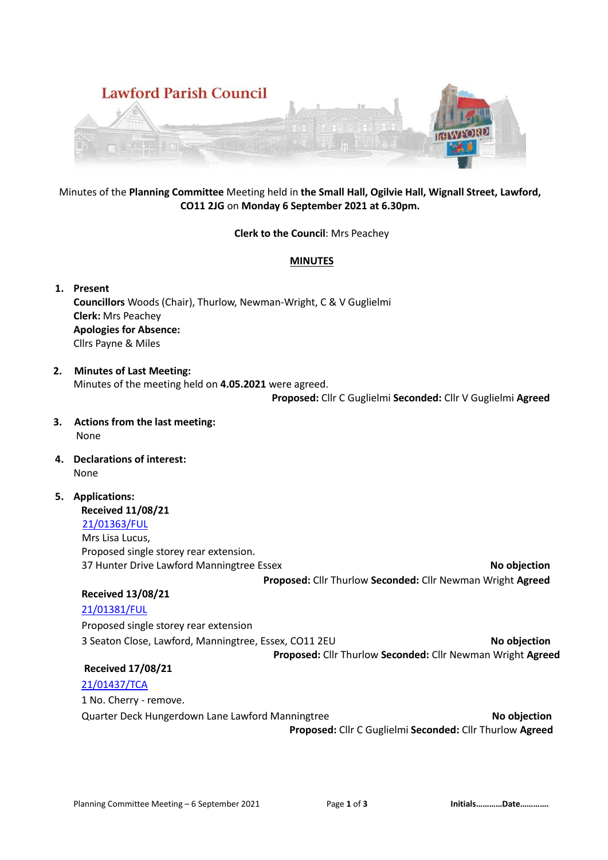

## Minutes of the **Planning Committee** Meeting held in **the Small Hall, Ogilvie Hall, Wignall Street, Lawford, CO11 2JG** on **Monday 6 September 2021 at 6.30pm.**

#### **Clerk to the Council**: Mrs Peachey

## **MINUTES**

## **1. Present**

**Councillors** Woods (Chair), Thurlow, Newman-Wright, C & V Guglielmi **Clerk:** Mrs Peachey **Apologies for Absence:**  Cllrs Payne & Miles

## **2. Minutes of Last Meeting:** Minutes of the meeting held on **4.05.2021** were agreed.

 **Proposed:** Cllr C Guglielmi **Seconded:** Cllr V Guglielmi **Agreed** 

- **3. Actions from the last meeting:** None
- **4. Declarations of interest:** None

# **5. Applications: Received 11/08/21** [21/01363/FUL](https://idox.tendringdc.gov.uk/online-applications/applicationDetails.do?activeTab=summary&keyVal=QX7H77QB0OT00) Mrs Lisa Lucus, Proposed single storey rear extension.

37 Hunter Drive Lawford Manningtree Essex **No objection Proposed:** Cllr Thurlow **Seconded:** Cllr Newman Wright **Agreed** 

## **Received 13/08/21**

## [21/01381/FUL](https://idox.tendringdc.gov.uk/online-applications/applicationDetails.do?activeTab=summary&keyVal=QXD8XCQB0OT00)

Proposed single storey rear extension 3 Seaton Close, Lawford, Manningtree, Essex, CO11 2EU **No objection Proposed:** Cllr Thurlow **Seconded:** Cllr Newman Wright **Agreed** 

# **Received 17/08/21**

## [21/01437/TCA](https://idox.tendringdc.gov.uk/online-applications/applicationDetails.do?activeTab=summary&keyVal=QXZIZXQB0KP00)

1 No. Cherry - remove.

Quarter Deck Hungerdown Lane Lawford Manningtree **No objection**

**Proposed:** Cllr C Guglielmi **Seconded:** Cllr Thurlow **Agreed**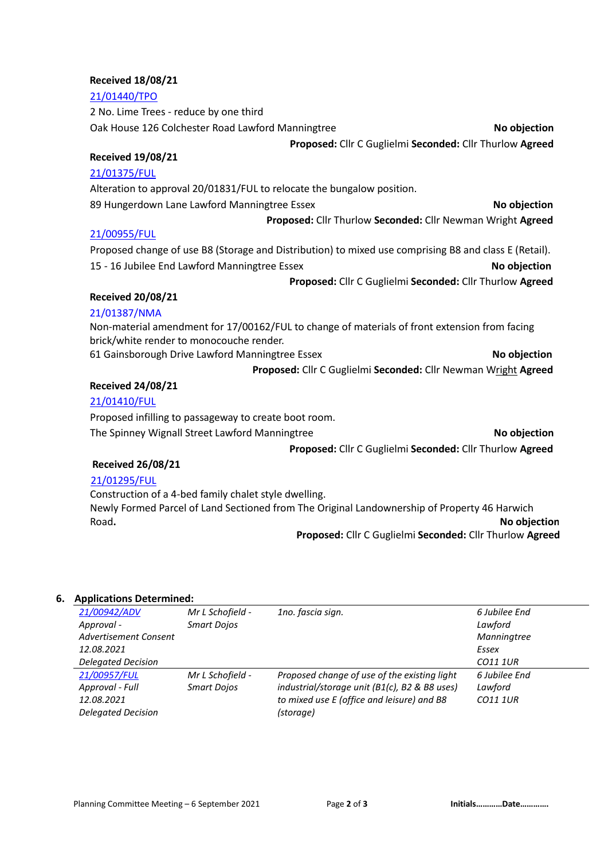# **Received 18/08/21**

#### **Received 26/08/21**

### [21/01295/FUL](https://idox.tendringdc.gov.uk/online-applications/applicationDetails.do?activeTab=summary&keyVal=QWJV6EQB0OT00)

Construction of a 4-bed family chalet style dwelling. Newly Formed Parcel of Land Sectioned from The Original Landownership of Property 46 Harwich Road. No objection

**Proposed:** Cllr C Guglielmi **Seconded:** Cllr Thurlow **Agreed** 

#### **6. Applications Determined:**

| 21/00942/ADV                 | Mr L Schofield -   | 1no. fascia sign.                             | 6 Jubilee End   |
|------------------------------|--------------------|-----------------------------------------------|-----------------|
| Approval -                   | <b>Smart Dojos</b> |                                               | Lawford         |
| <b>Advertisement Consent</b> |                    |                                               | Manningtree     |
| 12.08.2021                   |                    |                                               | Essex           |
| <b>Delegated Decision</b>    |                    |                                               | CO11 1UR        |
| 21/00957/FUL                 | Mr L Schofield -   | Proposed change of use of the existing light  | 6 Jubilee End   |
| Approval - Full              | <b>Smart Dojos</b> | industrial/storage unit (B1(c), B2 & B8 uses) | Lawford         |
| 12.08.2021                   |                    | to mixed use E (office and leisure) and B8    | <b>CO11 1UR</b> |
| <b>Delegated Decision</b>    |                    | (storage)                                     |                 |